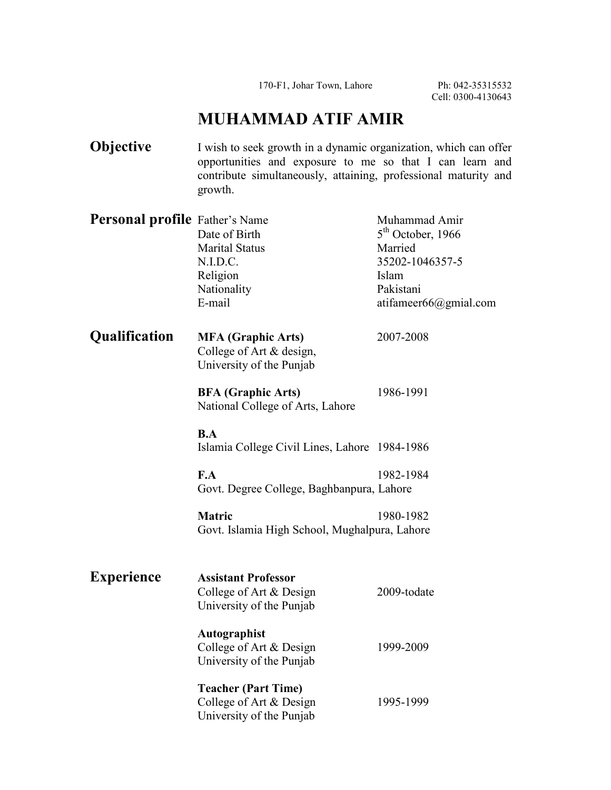170-F1, Johar Town, Lahore Ph: 042-35315532

Cell: 0300-4130643

## **MUHAMMAD ATIF AMIR**

| Objective                             | I wish to seek growth in a dynamic organization, which can offer<br>opportunities and exposure to me so that I can learn and<br>contribute simultaneously, attaining, professional maturity and<br>growth. |                                                                                                                   |  |
|---------------------------------------|------------------------------------------------------------------------------------------------------------------------------------------------------------------------------------------------------------|-------------------------------------------------------------------------------------------------------------------|--|
| <b>Personal profile</b> Father's Name | Date of Birth<br><b>Marital Status</b><br>N.I.D.C.<br>Religion<br>Nationality<br>E-mail                                                                                                                    | Muhammad Amir<br>$5th$ October, 1966<br>Married<br>35202-1046357-5<br>Islam<br>Pakistani<br>atifameer66@gmial.com |  |
| Qualification                         | <b>MFA</b> (Graphic Arts)<br>College of Art & design,<br>University of the Punjab                                                                                                                          | 2007-2008                                                                                                         |  |
|                                       | <b>BFA</b> (Graphic Arts)<br>National College of Arts, Lahore                                                                                                                                              | 1986-1991                                                                                                         |  |
|                                       | B.A<br>Islamia College Civil Lines, Lahore 1984-1986                                                                                                                                                       |                                                                                                                   |  |
|                                       | F.A<br>Govt. Degree College, Baghbanpura, Lahore                                                                                                                                                           | 1982-1984                                                                                                         |  |
|                                       | <b>Matric</b><br>Govt. Islamia High School, Mughalpura, Lahore                                                                                                                                             | 1980-1982                                                                                                         |  |
| <b>Experience</b>                     | <b>Assistant Professor</b><br>College of Art & Design<br>University of the Punjab                                                                                                                          | 2009-todate                                                                                                       |  |
|                                       | Autographist<br>College of Art & Design<br>University of the Punjab                                                                                                                                        | 1999-2009                                                                                                         |  |
|                                       | <b>Teacher (Part Time)</b><br>College of Art & Design<br>University of the Punjab                                                                                                                          | 1995-1999                                                                                                         |  |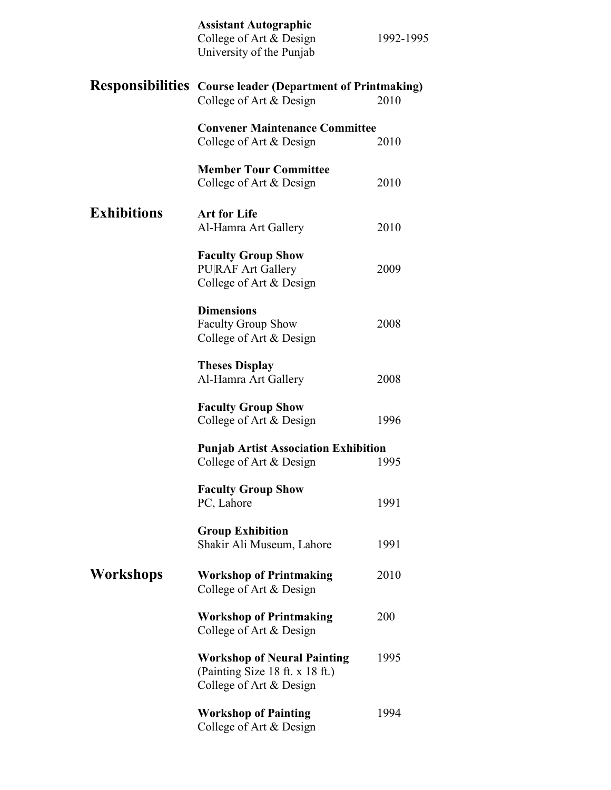|                    | <b>Assistant Autographic</b><br>College of Art & Design<br>University of the Punjab              | 1992-1995 |
|--------------------|--------------------------------------------------------------------------------------------------|-----------|
|                    | <b>Responsibilities</b> Course leader (Department of Printmaking)<br>College of Art & Design     | 2010      |
|                    | <b>Convener Maintenance Committee</b><br>College of Art & Design                                 | 2010      |
|                    | <b>Member Tour Committee</b><br>College of Art & Design                                          | 2010      |
| <b>Exhibitions</b> | <b>Art for Life</b><br>Al-Hamra Art Gallery                                                      | 2010      |
|                    | <b>Faculty Group Show</b><br><b>PURAF Art Gallery</b><br>College of Art & Design                 | 2009      |
|                    | <b>Dimensions</b><br>Faculty Group Show<br>College of Art & Design                               | 2008      |
|                    | <b>Theses Display</b><br>Al-Hamra Art Gallery                                                    | 2008      |
|                    | <b>Faculty Group Show</b><br>College of Art & Design                                             | 1996      |
|                    | <b>Punjab Artist Association Exhibition</b><br>College of Art $&$ Design                         | 1995      |
|                    | <b>Faculty Group Show</b><br>PC, Lahore                                                          | 1991      |
|                    | <b>Group Exhibition</b><br>Shakir Ali Museum, Lahore                                             | 1991      |
| Workshops          | <b>Workshop of Printmaking</b><br>College of Art & Design                                        | 2010      |
|                    | <b>Workshop of Printmaking</b><br>College of Art & Design                                        | 200       |
|                    | <b>Workshop of Neural Painting</b><br>(Painting Size 18 ft. x 18 ft.)<br>College of Art & Design | 1995      |
|                    | <b>Workshop of Painting</b><br>College of Art & Design                                           | 1994      |